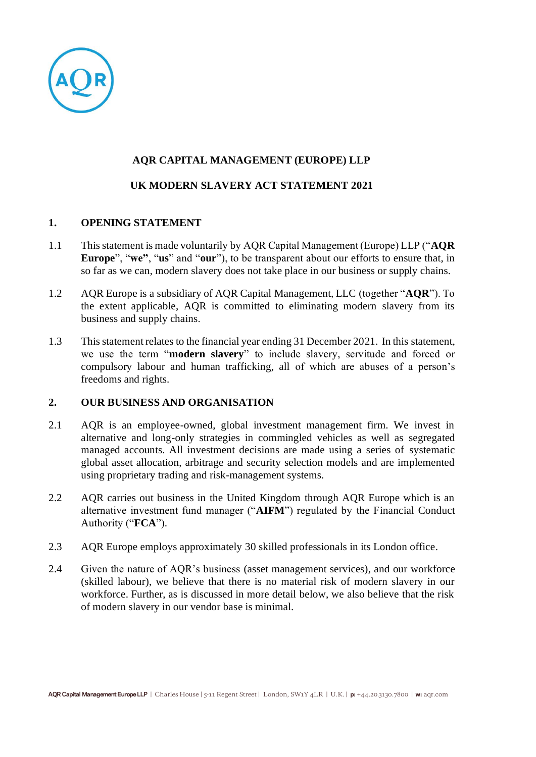

# **AQR CAPITAL MANAGEMENT (EUROPE) LLP**

# **UK MODERN SLAVERY ACT STATEMENT 2021**

## **1. OPENING STATEMENT**

- 1.1 This statement is made voluntarily by AQR Capital Management (Europe) LLP ("**AQR Europe**", "**we"**, "**us**" and "**our**"), to be transparent about our efforts to ensure that, in so far as we can, modern slavery does not take place in our business or supply chains.
- 1.2 AQR Europe is a subsidiary of AQR Capital Management, LLC (together "**AQR**"). To the extent applicable, AQR is committed to eliminating modern slavery from its business and supply chains.
- 1.3 This statement relates to the financial year ending 31 December 2021. In this statement, we use the term "**modern slavery**" to include slavery, servitude and forced or compulsory labour and human trafficking, all of which are abuses of a person's freedoms and rights.

## **2. OUR BUSINESS AND ORGANISATION**

- 2.1 AQR is an employee-owned, global investment management firm. We invest in alternative and long-only strategies in commingled vehicles as well as segregated managed accounts. All investment decisions are made using a series of systematic global asset allocation, arbitrage and security selection models and are implemented using proprietary trading and risk-management systems.
- 2.2 AQR carries out business in the United Kingdom through AQR Europe which is an alternative investment fund manager ("**AIFM**") regulated by the Financial Conduct Authority ("**FCA**").
- 2.3 AQR Europe employs approximately 30 skilled professionals in its London office.
- 2.4 Given the nature of AQR's business (asset management services), and our workforce (skilled labour), we believe that there is no material risk of modern slavery in our workforce. Further, as is discussed in more detail below, we also believe that the risk of modern slavery in our vendor base is minimal.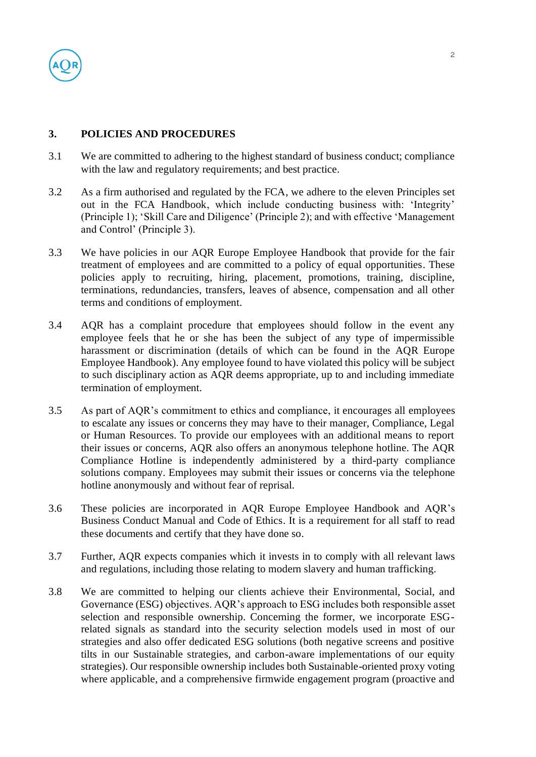

### **3. POLICIES AND PROCEDURES**

- 3.1 We are committed to adhering to the highest standard of business conduct; compliance with the law and regulatory requirements; and best practice.
- 3.2 As a firm authorised and regulated by the FCA, we adhere to the eleven Principles set out in the FCA Handbook, which include conducting business with: 'Integrity' (Principle 1); 'Skill Care and Diligence' (Principle 2); and with effective 'Management and Control' (Principle 3).
- 3.3 We have policies in our AQR Europe Employee Handbook that provide for the fair treatment of employees and are committed to a policy of equal opportunities. These policies apply to recruiting, hiring, placement, promotions, training, discipline, terminations, redundancies, transfers, leaves of absence, compensation and all other terms and conditions of employment.
- 3.4 AQR has a complaint procedure that employees should follow in the event any employee feels that he or she has been the subject of any type of impermissible harassment or discrimination (details of which can be found in the AQR Europe Employee Handbook). Any employee found to have violated this policy will be subject to such disciplinary action as AQR deems appropriate, up to and including immediate termination of employment.
- 3.5 As part of AQR's commitment to ethics and compliance, it encourages all employees to escalate any issues or concerns they may have to their manager, Compliance, Legal or Human Resources. To provide our employees with an additional means to report their issues or concerns, AQR also offers an anonymous telephone hotline. The AQR Compliance Hotline is independently administered by a third-party compliance solutions company. Employees may submit their issues or concerns via the telephone hotline anonymously and without fear of reprisal.
- 3.6 These policies are incorporated in AQR Europe Employee Handbook and AQR's Business Conduct Manual and Code of Ethics. It is a requirement for all staff to read these documents and certify that they have done so.
- 3.7 Further, AQR expects companies which it invests in to comply with all relevant laws and regulations, including those relating to modern slavery and human trafficking.
- 3.8 We are committed to helping our clients achieve their Environmental, Social, and Governance (ESG) objectives. AQR's approach to ESG includes both responsible asset selection and responsible ownership. Concerning the former, we incorporate ESGrelated signals as standard into the security selection models used in most of our strategies and also offer dedicated ESG solutions (both negative screens and positive tilts in our Sustainable strategies, and carbon-aware implementations of our equity strategies). Our responsible ownership includes both Sustainable-oriented proxy voting where applicable, and a comprehensive firmwide engagement program (proactive and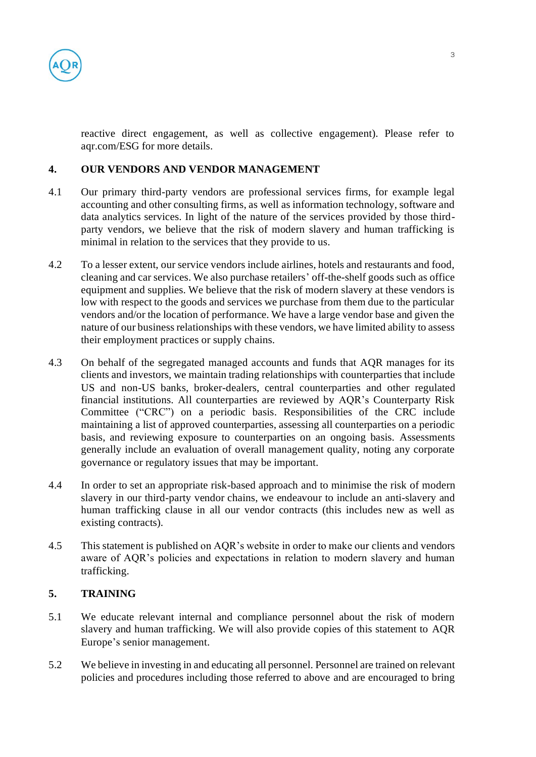

reactive direct engagement, as well as collective engagement). Please refer to aqr.com/ESG for more details.

### **4. OUR VENDORS AND VENDOR MANAGEMENT**

- 4.1 Our primary third-party vendors are professional services firms, for example legal accounting and other consulting firms, as well as information technology, software and data analytics services. In light of the nature of the services provided by those thirdparty vendors, we believe that the risk of modern slavery and human trafficking is minimal in relation to the services that they provide to us.
- 4.2 To a lesser extent, our service vendors include airlines, hotels and restaurants and food, cleaning and car services. We also purchase retailers' off-the-shelf goods such as office equipment and supplies. We believe that the risk of modern slavery at these vendors is low with respect to the goods and services we purchase from them due to the particular vendors and/or the location of performance. We have a large vendor base and given the nature of our business relationships with these vendors, we have limited ability to assess their employment practices or supply chains.
- 4.3 On behalf of the segregated managed accounts and funds that AQR manages for its clients and investors, we maintain trading relationships with counterparties that include US and non-US banks, broker-dealers, central counterparties and other regulated financial institutions. All counterparties are reviewed by AQR's Counterparty Risk Committee ("CRC") on a periodic basis. Responsibilities of the CRC include maintaining a list of approved counterparties, assessing all counterparties on a periodic basis, and reviewing exposure to counterparties on an ongoing basis. Assessments generally include an evaluation of overall management quality, noting any corporate governance or regulatory issues that may be important.
- 4.4 In order to set an appropriate risk-based approach and to minimise the risk of modern slavery in our third-party vendor chains, we endeavour to include an anti-slavery and human trafficking clause in all our vendor contracts (this includes new as well as existing contracts).
- 4.5 This statement is published on AQR's website in order to make our clients and vendors aware of AQR's policies and expectations in relation to modern slavery and human trafficking.

#### **5. TRAINING**

- 5.1 We educate relevant internal and compliance personnel about the risk of modern slavery and human trafficking. We will also provide copies of this statement to AQR Europe's senior management.
- 5.2 We believe in investing in and educating all personnel. Personnel are trained on relevant policies and procedures including those referred to above and are encouraged to bring